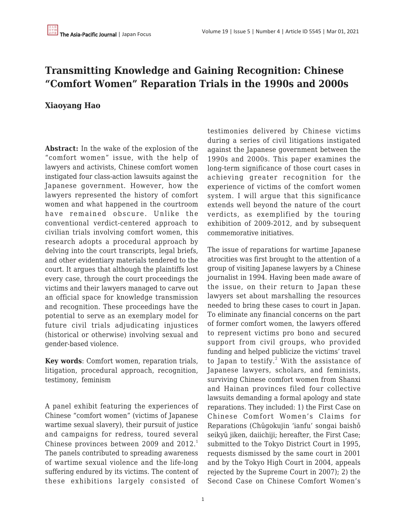## **Transmitting Knowledge and Gaining Recognition: Chinese "Comfort Women" Reparation Trials in the 1990s and 2000s**

## **Xiaoyang Hao**

**Abstract:** In the wake of the explosion of the "comfort women" issue, with the help of lawyers and activists, Chinese comfort women instigated four class-action lawsuits against the Japanese government. However, how the lawyers represented the history of comfort women and what happened in the courtroom have remained obscure. Unlike the conventional verdict-centered approach to civilian trials involving comfort women, this research adopts a procedural approach by delving into the court transcripts, legal briefs, and other evidentiary materials tendered to the court. It argues that although the plaintiffs lost every case, through the court proceedings the victims and their lawyers managed to carve out an official space for knowledge transmission and recognition. These proceedings have the potential to serve as an exemplary model for future civil trials adjudicating injustices (historical or otherwise) involving sexual and gender-based violence.

**Key words**: Comfort women, reparation trials, litigation, procedural approach, recognition, testimony, feminism

A panel exhibit featuring the experiences of Chinese "comfort women" (victims of Japanese wartime sexual slavery), their pursuit of justice and campaigns for redress, toured several Chinese provinces between 2009 and 2012.<sup>1</sup> The panels contributed to spreading awareness of wartime sexual violence and the life-long suffering endured by its victims. The content of these exhibitions largely consisted of testimonies delivered by Chinese victims during a series of civil litigations instigated against the Japanese government between the 1990s and 2000s. This paper examines the long-term significance of those court cases in achieving greater recognition for the experience of victims of the comfort women system. I will argue that this significance extends well beyond the nature of the court verdicts, as exemplified by the touring exhibition of 2009-2012, and by subsequent commemorative initiatives.

The issue of reparations for wartime Japanese atrocities was first brought to the attention of a group of visiting Japanese lawyers by a Chinese journalist in 1994. Having been made aware of the issue, on their return to Japan these lawyers set about marshalling the resources needed to bring these cases to court in Japan. To eliminate any financial concerns on the part of former comfort women, the lawyers offered to represent victims pro bono and secured support from civil groups, who provided funding and helped publicize the victims' travel to Japan to testify. $^2$  With the assistance of Japanese lawyers, scholars, and feminists, surviving Chinese comfort women from Shanxi and Hainan provinces filed four collective lawsuits demanding a formal apology and state reparations. They included: 1) the First Case on Chinese Comfort Women's Claims for Reparations (Chūgokujin 'ianfu' songai baishō seikyū jiken, daiichiji; hereafter, the First Case; submitted to the Tokyo District Court in 1995, requests dismissed by the same court in 2001 and by the Tokyo High Court in 2004, appeals rejected by the Supreme Court in 2007); 2) the Second Case on Chinese Comfort Women's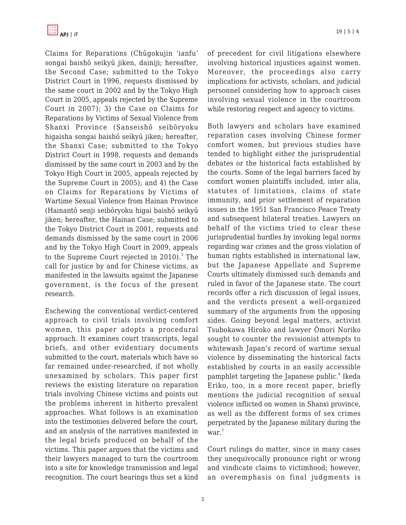Claims for Reparations (Chūgokujin 'ianfu' songai baishō seikyū jiken, dainiji; hereafter, the Second Case; submitted to the Tokyo District Court in 1996, requests dismissed by the same court in 2002 and by the Tokyo High Court in 2005, appeals rejected by the Supreme Court in 2007); 3) the Case on Claims for Reparations by Victims of Sexual Violence from Shanxi Province (Sanseishō seibōryoku higaisha songai baishō seikyū jiken; hereafter, the Shanxi Case; submitted to the Tokyo District Court in 1998, requests and demands dismissed by the same court in 2003 and by the Tokyo High Court in 2005, appeals rejected by the Supreme Court in 2005); and 4) the Case on Claims for Reparations by Victims of Wartime Sexual Violence from Hainan Province (Hainantō senji seibōryoku higai baishō seikyū jiken; hereafter, the Hainan Case; submitted to the Tokyo District Court in 2001, requests and demands dismissed by the same court in 2006 and by the Tokyo High Court in 2009, appeals to the Supreme Court rejected in 2010). $^3$  The call for justice by and for Chinese victims, as manifested in the lawsuits against the Japanese government, is the focus of the present research.

Eschewing the conventional verdict-centered approach to civil trials involving comfort women, this paper adopts a procedural approach. It examines court transcripts, legal briefs, and other evidentiary documents submitted to the court, materials which have so far remained under-researched, if not wholly unexamined by scholars. This paper first reviews the existing literature on reparation trials involving Chinese victims and points out the problems inherent in hitherto prevalent approaches. What follows is an examination into the testimonies delivered before the court, and an analysis of the narratives manifested in the legal briefs produced on behalf of the victims. This paper argues that the victims and their lawyers managed to turn the courtroom into a site for knowledge transmission and legal recognition. The court hearings thus set a kind

of precedent for civil litigations elsewhere involving historical injustices against women. Moreover, the proceedings also carry implications for activists, scholars, and judicial personnel considering how to approach cases involving sexual violence in the courtroom while restoring respect and agency to victims.

Both lawyers and scholars have examined reparation cases involving Chinese former comfort women, but previous studies have tended to highlight either the jurisprudential debates or the historical facts established by the courts. Some of the legal barriers faced by comfort women plaintiffs included, inter alia, statutes of limitations, claims of state immunity, and prior settlement of reparation issues in the 1951 San Francisco Peace Treaty and subsequent bilateral treaties. Lawyers on behalf of the victims tried to clear these jurisprudential hurdles by invoking legal norms regarding war crimes and the gross violation of human rights established in international law, but the Japanese Appellate and Supreme Courts ultimately dismissed such demands and ruled in favor of the Japanese state. The court records offer a rich discussion of legal issues, and the verdicts present a well-organized summary of the arguments from the opposing sides. Going beyond legal matters, activist Tsubokawa Hiroko and lawyer Ōmori Noriko sought to counter the revisionist attempts to whitewash Japan's record of wartime sexual violence by disseminating the historical facts established by courts in an easily accessible pamphlet targeting the Japanese public.<sup>4</sup> Ikeda Eriko, too, in a more recent paper, briefly mentions the judicial recognition of sexual violence inflicted on women in Shanxi province, as well as the different forms of sex crimes perpetrated by the Japanese military during the war.<sup>5</sup>

Court rulings do matter, since in many cases they unequivocally pronounce right or wrong and vindicate claims to victimhood; however, an overemphasis on final judgments is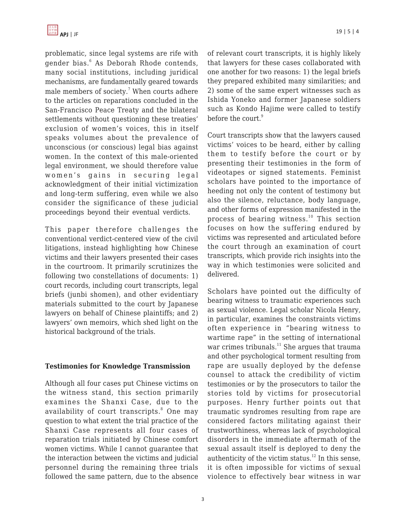

problematic, since legal systems are rife with gender bias.<sup>6</sup> As Deborah Rhode contends, many social institutions, including juridical mechanisms, are fundamentally geared towards male members of society. $7$  When courts adhere to the articles on reparations concluded in the San-Francisco Peace Treaty and the bilateral settlements without questioning these treaties' exclusion of women's voices, this in itself speaks volumes about the prevalence of unconscious (or conscious) legal bias against women. In the context of this male-oriented legal environment, we should therefore value women's gains in securing legal acknowledgment of their initial victimization and long-term suffering, even while we also consider the significance of these judicial proceedings beyond their eventual verdicts.

This paper therefore challenges the conventional verdict-centered view of the civil litigations, instead highlighting how Chinese victims and their lawyers presented their cases in the courtroom. It primarily scrutinizes the following two constellations of documents: 1) court records, including court transcripts, legal briefs (junbi shomen), and other evidentiary materials submitted to the court by Japanese lawyers on behalf of Chinese plaintiffs; and 2) lawyers' own memoirs, which shed light on the historical background of the trials.

#### **Testimonies for Knowledge Transmission**

Although all four cases put Chinese victims on the witness stand, this section primarily examines the Shanxi Case, due to the availability of court transcripts.<sup>8</sup> One may question to what extent the trial practice of the Shanxi Case represents all four cases of reparation trials initiated by Chinese comfort women victims. While I cannot guarantee that the interaction between the victims and judicial personnel during the remaining three trials followed the same pattern, due to the absence of relevant court transcripts, it is highly likely that lawyers for these cases collaborated with one another for two reasons: 1) the legal briefs they prepared exhibited many similarities; and 2) some of the same expert witnesses such as Ishida Yoneko and former Japanese soldiers such as Kondo Hajime were called to testify before the court.<sup>9</sup>

Court transcripts show that the lawyers caused victims' voices to be heard, either by calling them to testify before the court or by presenting their testimonies in the form of videotapes or signed statements. Feminist scholars have pointed to the importance of heeding not only the content of testimony but also the silence, reluctance, body language, and other forms of expression manifested in the process of bearing witness.<sup>10</sup> This section focuses on how the suffering endured by victims was represented and articulated before the court through an examination of court transcripts, which provide rich insights into the way in which testimonies were solicited and delivered.

Scholars have pointed out the difficulty of bearing witness to traumatic experiences such as sexual violence. Legal scholar Nicola Henry, in particular, examines the constraints victims often experience in "bearing witness to wartime rape" in the setting of international war crimes tribunals.<sup>11</sup> She argues that trauma and other psychological torment resulting from rape are usually deployed by the defense counsel to attack the credibility of victim testimonies or by the prosecutors to tailor the stories told by victims for prosecutorial purposes. Henry further points out that traumatic syndromes resulting from rape are considered factors militating against their trustworthiness, whereas lack of psychological disorders in the immediate aftermath of the sexual assault itself is deployed to deny the authenticity of the victim status.<sup>12</sup> In this sense, it is often impossible for victims of sexual violence to effectively bear witness in war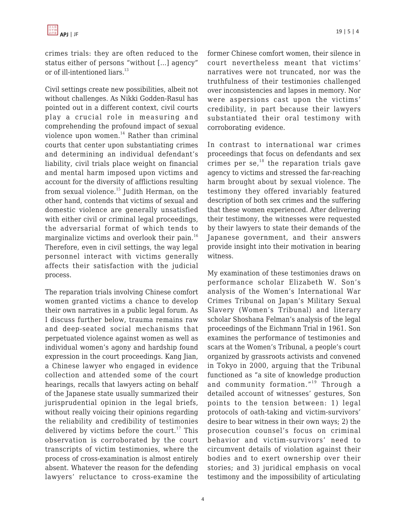

crimes trials: they are often reduced to the status either of persons "without […] agency" or of ill-intentioned liars. $^{13}$ 

Civil settings create new possibilities, albeit not without challenges. As Nikki Godden-Rasul has pointed out in a different context, civil courts play a crucial role in measuring and comprehending the profound impact of sexual violence upon women. $14}$  Rather than criminal courts that center upon substantiating crimes and determining an individual defendant's liability, civil trials place weight on financial and mental harm imposed upon victims and account for the diversity of afflictions resulting from sexual violence.<sup>15</sup> Judith Herman, on the other hand, contends that victims of sexual and domestic violence are generally unsatisfied with either civil or criminal legal proceedings, the adversarial format of which tends to marginalize victims and overlook their pain. $^{16}$ Therefore, even in civil settings, the way legal personnel interact with victims generally affects their satisfaction with the judicial process.

The reparation trials involving Chinese comfort women granted victims a chance to develop their own narratives in a public legal forum. As I discuss further below, trauma remains raw and deep-seated social mechanisms that perpetuated violence against women as well as individual women's agony and hardship found expression in the court proceedings. Kang Jian, a Chinese lawyer who engaged in evidence collection and attended some of the court hearings, recalls that lawyers acting on behalf of the Japanese state usually summarized their jurisprudential opinion in the legal briefs, without really voicing their opinions regarding the reliability and credibility of testimonies delivered by victims before the court.<sup>17</sup> This observation is corroborated by the court transcripts of victim testimonies, where the process of cross-examination is almost entirely absent. Whatever the reason for the defending lawyers' reluctance to cross-examine the former Chinese comfort women, their silence in court nevertheless meant that victims' narratives were not truncated, nor was the truthfulness of their testimonies challenged over inconsistencies and lapses in memory. Nor were aspersions cast upon the victims' credibility, in part because their lawyers substantiated their oral testimony with corroborating evidence.

In contrast to international war crimes proceedings that focus on defendants and sex crimes per se, $^{18}$  the reparation trials gave agency to victims and stressed the far-reaching harm brought about by sexual violence. The testimony they offered invariably featured description of both sex crimes and the suffering that these women experienced. After delivering their testimony, the witnesses were requested by their lawyers to state their demands of the Japanese government, and their answers provide insight into their motivation in bearing witness.

My examination of these testimonies draws on performance scholar Elizabeth W. Son's analysis of the Women's International War Crimes Tribunal on Japan's Military Sexual Slavery (Women's Tribunal) and literary scholar Shoshana Felman's analysis of the legal proceedings of the Eichmann Trial in 1961. Son examines the performance of testimonies and scars at the Women's Tribunal, a people's court organized by grassroots activists and convened in Tokyo in 2000, arguing that the Tribunal functioned as "a site of knowledge production and community formation."<sup>19</sup> Through a detailed account of witnesses' gestures, Son points to the tension between: 1) legal protocols of oath-taking and victim-survivors' desire to bear witness in their own ways; 2) the prosecution counsel's focus on criminal behavior and victim-survivors' need to circumvent details of violation against their bodies and to exert ownership over their stories; and 3) juridical emphasis on vocal testimony and the impossibility of articulating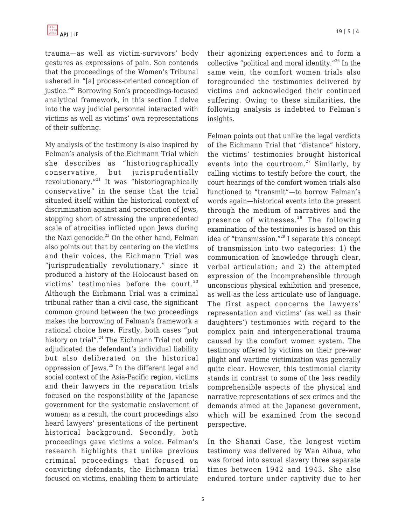trauma—as well as victim-survivors' body gestures as expressions of pain. Son contends that the proceedings of the Women's Tribunal ushered in "[a] process-oriented conception of justice."<sup>20</sup> Borrowing Son's proceedings-focused analytical framework, in this section I delve into the way judicial personnel interacted with victims as well as victims' own representations of their suffering.

My analysis of the testimony is also inspired by Felman's analysis of the Eichmann Trial which she describes as "historiographically conservative, but jurisprudentially revolutionary."<sup>21</sup> It was "historiographically conservative" in the sense that the trial situated itself within the historical context of discrimination against and persecution of Jews, stopping short of stressing the unprecedented scale of atrocities inflicted upon Jews during the Nazi genocide. $^{22}$  On the other hand, Felman also points out that by centering on the victims and their voices, the Eichmann Trial was "jurisprudentially revolutionary," since it produced a history of the Holocaust based on victims' testimonies before the court.<sup>23</sup> Although the Eichmann Trial was a criminal tribunal rather than a civil case, the significant common ground between the two proceedings makes the borrowing of Felman's framework a rational choice here. Firstly, both cases "put history on trial".<sup>24</sup> The Eichmann Trial not only adjudicated the defendant's individual liability but also deliberated on the historical oppression of Jews.<sup>25</sup> In the different legal and social context of the Asia-Pacific region, victims and their lawyers in the reparation trials focused on the responsibility of the Japanese government for the systematic enslavement of women; as a result, the court proceedings also heard lawyers' presentations of the pertinent historical background. Secondly, both proceedings gave victims a voice. Felman's research highlights that unlike previous criminal proceedings that focused on convicting defendants, the Eichmann trial focused on victims, enabling them to articulate their agonizing experiences and to form a collective "political and moral identity."<sup>26</sup> In the same vein, the comfort women trials also foregrounded the testimonies delivered by victims and acknowledged their continued suffering. Owing to these similarities, the following analysis is indebted to Felman's insights.

Felman points out that unlike the legal verdicts of the Eichmann Trial that "distance" history, the victims' testimonies brought historical events into the courtroom.<sup>27</sup> Similarly, by calling victims to testify before the court, the court hearings of the comfort women trials also functioned to "transmit"—to borrow Felman's words again—historical events into the present through the medium of narratives and the presence of witnesses.<sup>28</sup> The following examination of the testimonies is based on this idea of "transmission."<sup>29</sup> I separate this concept of transmission into two categories: 1) the communication of knowledge through clear, verbal articulation; and 2) the attempted expression of the incomprehensible through unconscious physical exhibition and presence, as well as the less articulate use of language. The first aspect concerns the lawyers' representation and victims' (as well as their daughters') testimonies with regard to the complex pain and intergenerational trauma caused by the comfort women system. The testimony offered by victims on their pre-war plight and wartime victimization was generally quite clear. However, this testimonial clarity stands in contrast to some of the less readily comprehensible aspects of the physical and narrative representations of sex crimes and the demands aimed at the Japanese government, which will be examined from the second perspective.

In the Shanxi Case, the longest victim testimony was delivered by Wan Aihua, who was forced into sexual slavery three separate times between 1942 and 1943. She also endured torture under captivity due to her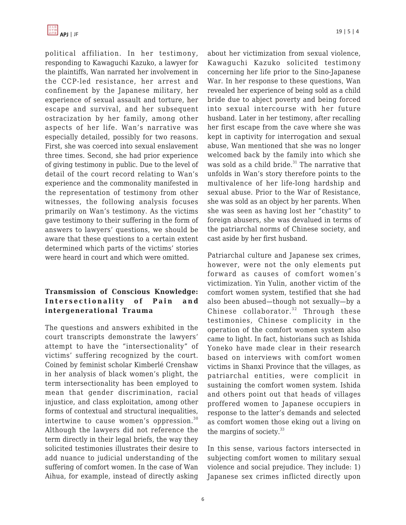

political affiliation. In her testimony, responding to Kawaguchi Kazuko, a lawyer for the plaintiffs, Wan narrated her involvement in the CCP-led resistance, her arrest and confinement by the Japanese military, her experience of sexual assault and torture, her escape and survival, and her subsequent ostracization by her family, among other aspects of her life. Wan's narrative was especially detailed, possibly for two reasons. First, she was coerced into sexual enslavement three times. Second, she had prior experience of giving testimony in public. Due to the level of detail of the court record relating to Wan's experience and the commonality manifested in the representation of testimony from other witnesses, the following analysis focuses primarily on Wan's testimony. As the victims gave testimony to their suffering in the form of answers to lawyers' questions, we should be aware that these questions to a certain extent determined which parts of the victims' stories were heard in court and which were omitted.

### **Transmission of Conscious Knowledge: Intersectionality of Pain and intergenerational Trauma**

The questions and answers exhibited in the court transcripts demonstrate the lawyers' attempt to have the "intersectionality" of victims' suffering recognized by the court. Coined by feminist scholar Kimberlé Crenshaw in her analysis of black women's plight, the term intersectionality has been employed to mean that gender discrimination, racial injustice, and class exploitation, among other forms of contextual and structural inequalities, intertwine to cause women's oppression.<sup>30</sup> Although the lawyers did not reference the term directly in their legal briefs, the way they solicited testimonies illustrates their desire to add nuance to judicial understanding of the suffering of comfort women. In the case of Wan Aihua, for example, instead of directly asking

about her victimization from sexual violence, Kawaguchi Kazuko solicited testimony concerning her life prior to the Sino-Japanese War. In her response to these questions, Wan revealed her experience of being sold as a child bride due to abject poverty and being forced into sexual intercourse with her future husband. Later in her testimony, after recalling her first escape from the cave where she was kept in captivity for interrogation and sexual abuse, Wan mentioned that she was no longer welcomed back by the family into which she was sold as a child bride. $31$  The narrative that unfolds in Wan's story therefore points to the multivalence of her life-long hardship and sexual abuse. Prior to the War of Resistance, she was sold as an object by her parents. When she was seen as having lost her "chastity" to foreign abusers, she was devalued in terms of the patriarchal norms of Chinese society, and cast aside by her first husband.

Patriarchal culture and Japanese sex crimes, however, were not the only elements put forward as causes of comfort women's victimization. Yin Yulin, another victim of the comfort women system, testified that she had also been abused—though not sexually—by a Chinese collaborator. $32$  Through these testimonies, Chinese complicity in the operation of the comfort women system also came to light. In fact, historians such as Ishida Yoneko have made clear in their research based on interviews with comfort women victims in Shanxi Province that the villages, as patriarchal entities, were complicit in sustaining the comfort women system. Ishida and others point out that heads of villages proffered women to Japanese occupiers in response to the latter's demands and selected as comfort women those eking out a living on the margins of society. $33$ 

In this sense, various factors intersected in subjecting comfort women to military sexual violence and social prejudice. They include: 1) Japanese sex crimes inflicted directly upon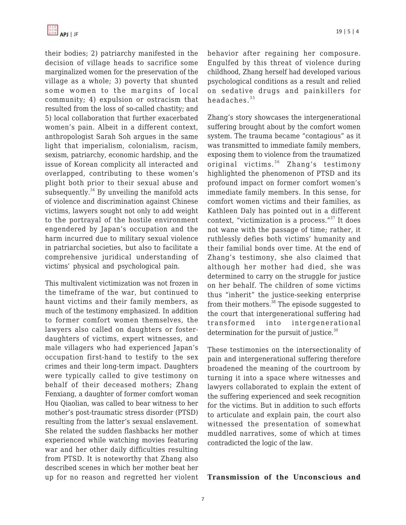

their bodies; 2) patriarchy manifested in the decision of village heads to sacrifice some marginalized women for the preservation of the village as a whole; 3) poverty that shunted some women to the margins of local community; 4) expulsion or ostracism that resulted from the loss of so-called chastity; and 5) local collaboration that further exacerbated women's pain. Albeit in a different context, anthropologist Sarah Soh argues in the same light that imperialism, colonialism, racism, sexism, patriarchy, economic hardship, and the issue of Korean complicity all interacted and overlapped, contributing to these women's plight both prior to their sexual abuse and subsequently. $34$  By unveiling the manifold acts of violence and discrimination against Chinese victims, lawyers sought not only to add weight to the portrayal of the hostile environment engendered by Japan's occupation and the harm incurred due to military sexual violence in patriarchal societies, but also to facilitate a comprehensive juridical understanding of victims' physical and psychological pain.

This multivalent victimization was not frozen in the timeframe of the war, but continued to haunt victims and their family members, as much of the testimony emphasized. In addition to former comfort women themselves, the lawyers also called on daughters or fosterdaughters of victims, expert witnesses, and male villagers who had experienced Japan's occupation first-hand to testify to the sex crimes and their long-term impact. Daughters were typically called to give testimony on behalf of their deceased mothers; Zhang Fenxiang, a daughter of former comfort woman Hou Qiaolian, was called to bear witness to her mother's post-traumatic stress disorder (PTSD) resulting from the latter's sexual enslavement. She related the sudden flashbacks her mother experienced while watching movies featuring war and her other daily difficulties resulting from PTSD. It is noteworthy that Zhang also described scenes in which her mother beat her up for no reason and regretted her violent behavior after regaining her composure. Engulfed by this threat of violence during childhood, Zhang herself had developed various psychological conditions as a result and relied on sedative drugs and painkillers for headaches.<sup>35</sup>

Zhang's story showcases the intergenerational suffering brought about by the comfort women system. The trauma became "contagious" as it was transmitted to immediate family members, exposing them to violence from the traumatized original victims.  $36$  Zhang's testimony highlighted the phenomenon of PTSD and its profound impact on former comfort women's immediate family members. In this sense, for comfort women victims and their families, as Kathleen Daly has pointed out in a different context, "victimization is a process."<sup>37</sup> It does not wane with the passage of time; rather, it ruthlessly defies both victims' humanity and their familial bonds over time. At the end of Zhang's testimony, she also claimed that although her mother had died, she was determined to carry on the struggle for justice on her behalf. The children of some victims thus "inherit" the justice-seeking enterprise from their mothers.<sup>38</sup> The episode suggested to the court that intergenerational suffering had transformed into intergenerational determination for the pursuit of justice.<sup>39</sup>

These testimonies on the intersectionality of pain and intergenerational suffering therefore broadened the meaning of the courtroom by turning it into a space where witnesses and lawyers collaborated to explain the extent of the suffering experienced and seek recognition for the victims. But in addition to such efforts to articulate and explain pain, the court also witnessed the presentation of somewhat muddled narratives, some of which at times contradicted the logic of the law.

#### **Transmission of the Unconscious and**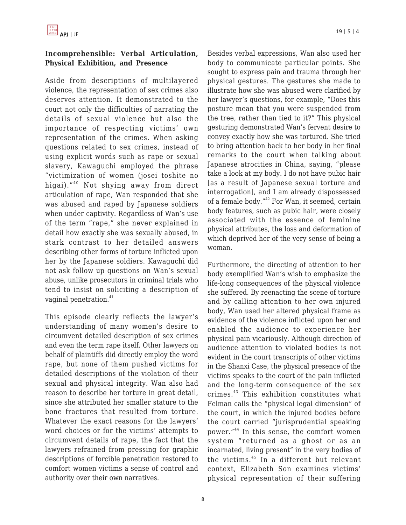## **Incomprehensible: Verbal Articulation, Physical Exhibition, and Presence**

Aside from descriptions of multilayered violence, the representation of sex crimes also deserves attention. It demonstrated to the court not only the difficulties of narrating the details of sexual violence but also the importance of respecting victims' own representation of the crimes. When asking questions related to sex crimes, instead of using explicit words such as rape or sexual slavery, Kawaguchi employed the phrase "victimization of women (josei toshite no higai)."<sup>40</sup> Not shying away from direct articulation of rape, Wan responded that she was abused and raped by Japanese soldiers when under captivity. Regardless of Wan's use of the term "rape," she never explained in detail how exactly she was sexually abused, in stark contrast to her detailed answers describing other forms of torture inflicted upon her by the Japanese soldiers. Kawaguchi did not ask follow up questions on Wan's sexual abuse, unlike prosecutors in criminal trials who tend to insist on soliciting a description of vaginal penetration.<sup>41</sup>

This episode clearly reflects the lawyer's understanding of many women's desire to circumvent detailed description of sex crimes and even the term rape itself. Other lawyers on behalf of plaintiffs did directly employ the word rape, but none of them pushed victims for detailed descriptions of the violation of their sexual and physical integrity. Wan also had reason to describe her torture in great detail, since she attributed her smaller stature to the bone fractures that resulted from torture. Whatever the exact reasons for the lawyers' word choices or for the victims' attempts to circumvent details of rape, the fact that the lawyers refrained from pressing for graphic descriptions of forcible penetration restored to comfort women victims a sense of control and authority over their own narratives.

Besides verbal expressions, Wan also used her body to communicate particular points. She sought to express pain and trauma through her physical gestures. The gestures she made to illustrate how she was abused were clarified by her lawyer's questions, for example, "Does this posture mean that you were suspended from the tree, rather than tied to it?" This physical gesturing demonstrated Wan's fervent desire to convey exactly how she was tortured. She tried to bring attention back to her body in her final remarks to the court when talking about Japanese atrocities in China, saying, "please take a look at my body. I do not have pubic hair [as a result of Japanese sexual torture and interrogation], and I am already dispossessed of a female body."<sup>42</sup> For Wan, it seemed, certain body features, such as pubic hair, were closely associated with the essence of feminine physical attributes, the loss and deformation of which deprived her of the very sense of being a woman.

Furthermore, the directing of attention to her body exemplified Wan's wish to emphasize the life-long consequences of the physical violence she suffered. By reenacting the scene of torture and by calling attention to her own injured body, Wan used her altered physical frame as evidence of the violence inflicted upon her and enabled the audience to experience her physical pain vicariously. Although direction of audience attention to violated bodies is not evident in the court transcripts of other victims in the Shanxi Case, the physical presence of the victims speaks to the court of the pain inflicted and the long-term consequence of the sex crimes.<sup>43</sup> This exhibition constitutes what Felman calls the "physical legal dimension" of the court, in which the injured bodies before the court carried "jurisprudential speaking power."<sup>44</sup> In this sense, the comfort women system "returned as a ghost or as an incarnated, living present" in the very bodies of the victims. $45$  In a different but relevant context, Elizabeth Son examines victims' physical representation of their suffering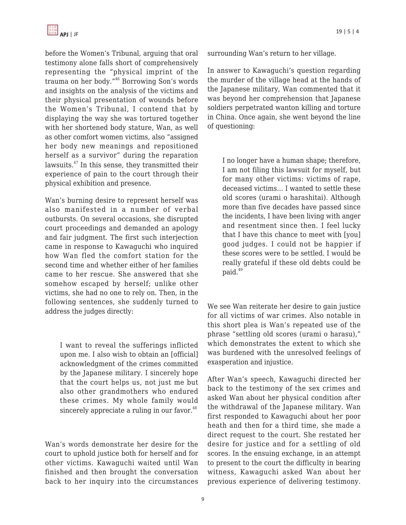before the Women's Tribunal, arguing that oral testimony alone falls short of comprehensively representing the "physical imprint of the trauma on her body."<sup>46</sup> Borrowing Son's words and insights on the analysis of the victims and their physical presentation of wounds before the Women's Tribunal, I contend that by displaying the way she was tortured together with her shortened body stature, Wan, as well as other comfort women victims, also "assigned her body new meanings and repositioned herself as a survivor" during the reparation lawsuits.<sup>47</sup> In this sense, they transmitted their experience of pain to the court through their physical exhibition and presence.

Wan's burning desire to represent herself was also manifested in a number of verbal outbursts. On several occasions, she disrupted court proceedings and demanded an apology and fair judgment. The first such interjection came in response to Kawaguchi who inquired how Wan fled the comfort station for the second time and whether either of her families came to her rescue. She answered that she somehow escaped by herself; unlike other victims, she had no one to rely on. Then, in the following sentences, she suddenly turned to address the judges directly:

I want to reveal the sufferings inflicted upon me. I also wish to obtain an [official] acknowledgment of the crimes committed by the Japanese military. I sincerely hope that the court helps us, not just me but also other grandmothers who endured these crimes. My whole family would sincerely appreciate a ruling in our favor. $48$ 

Wan's words demonstrate her desire for the court to uphold justice both for herself and for other victims. Kawaguchi waited until Wan finished and then brought the conversation back to her inquiry into the circumstances surrounding Wan's return to her village.

In answer to Kawaguchi's question regarding the murder of the village head at the hands of the Japanese military, Wan commented that it was beyond her comprehension that Japanese soldiers perpetrated wanton killing and torture in China. Once again, she went beyond the line of questioning:

I no longer have a human shape; therefore, I am not filing this lawsuit for myself, but for many other victims: victims of rape, deceased victims… I wanted to settle these old scores (urami o harashitai). Although more than five decades have passed since the incidents, I have been living with anger and resentment since then. I feel lucky that I have this chance to meet with [you] good judges. I could not be happier if these scores were to be settled. I would be really grateful if these old debts could be paid.<sup>49</sup>

We see Wan reiterate her desire to gain justice for all victims of war crimes. Also notable in this short plea is Wan's repeated use of the phrase "settling old scores (urami o harasu)," which demonstrates the extent to which she was burdened with the unresolved feelings of exasperation and injustice.

After Wan's speech, Kawaguchi directed her back to the testimony of the sex crimes and asked Wan about her physical condition after the withdrawal of the Japanese military. Wan first responded to Kawaguchi about her poor heath and then for a third time, she made a direct request to the court. She restated her desire for justice and for a settling of old scores. In the ensuing exchange, in an attempt to present to the court the difficulty in bearing witness, Kawaguchi asked Wan about her previous experience of delivering testimony.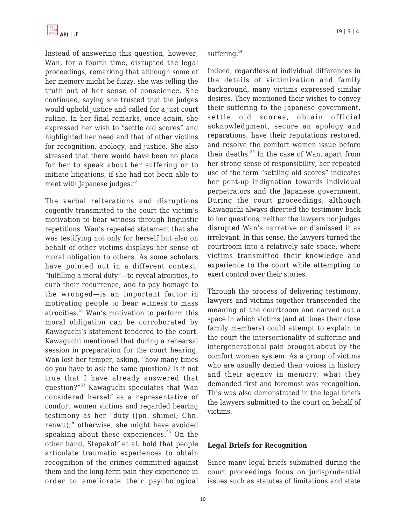Instead of answering this question, however, Wan, for a fourth time, disrupted the legal proceedings, remarking that although some of her memory might be fuzzy, she was telling the truth out of her sense of conscience. She continued, saying she trusted that the judges would uphold justice and called for a just court ruling. In her final remarks, once again, she expressed her wish to "settle old scores" and highlighted her need and that of other victims for recognition, apology, and justice. She also stressed that there would have been no place for her to speak about her suffering or to initiate litigations, if she had not been able to meet with Japanese judges.<sup>50</sup>

The verbal reiterations and disruptions cogently transmitted to the court the victim's motivation to bear witness through linguistic repetitions. Wan's repeated statement that she was testifying not only for herself but also on behalf of other victims displays her sense of moral obligation to others. As some scholars have pointed out in a different context, "fulfilling a moral duty"—to reveal atrocities, to curb their recurrence, and to pay homage to the wronged—is an important factor in motivating people to bear witness to mass atrocities.<sup>51</sup> Wan's motivation to perform this moral obligation can be corroborated by Kawaguchi's statement tendered to the court. Kawaguchi mentioned that during a rehearsal session in preparation for the court hearing, Wan lost her temper, asking, "how many times do you have to ask the same question? Is it not true that I have already answered that question?"<sup>52</sup> Kawaguchi speculates that Wan considered herself as a representative of comfort women victims and regarded bearing testimony as her "duty (Jpn. shimei; Chn. renwu);" otherwise, she might have avoided speaking about these experiences. $53$  On the other hand, Stepakoff et al. hold that people articulate traumatic experiences to obtain recognition of the crimes committed against them and the long-term pain they experience in order to ameliorate their psychological

#### suffering.<sup>54</sup>

Indeed, regardless of individual differences in the details of victimization and family background, many victims expressed similar desires. They mentioned their wishes to convey their suffering to the Japanese government, settle old scores, obtain official acknowledgment, secure an apology and reparations, have their reputations restored, and resolve the comfort women issue before their deaths.<sup>55</sup> In the case of Wan, apart from her strong sense of responsibility, her repeated use of the term "settling old scores" indicates her pent-up indignation towards individual perpetrators and the Japanese government. During the court proceedings, although Kawaguchi always directed the testimony back to her questions, neither the lawyers nor judges disrupted Wan's narrative or dismissed it as irrelevant. In this sense, the lawyers turned the courtroom into a relatively safe space, where victims transmitted their knowledge and experience to the court while attempting to exert control over their stories.

Through the process of delivering testimony, lawyers and victims together transcended the meaning of the courtroom and carved out a space in which victims (and at times their close family members) could attempt to explain to the court the intersectionality of suffering and intergenerational pain brought about by the comfort women system. As a group of victims who are usually denied their voices in history and their agency in memory, what they demanded first and foremost was recognition. This was also demonstrated in the legal briefs the lawyers submitted to the court on behalf of victims.

### **Legal Briefs for Recognition**

Since many legal briefs submitted during the court proceedings focus on jurisprudential issues such as statutes of limitations and state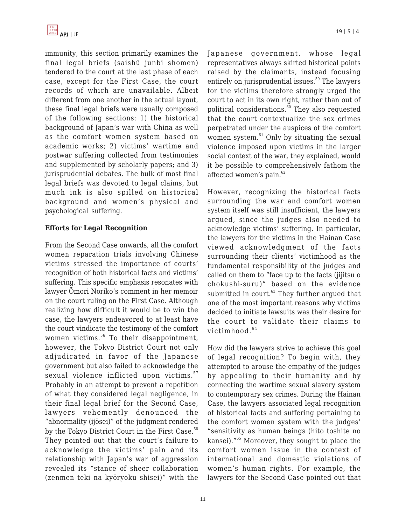immunity, this section primarily examines the final legal briefs (saishū junbi shomen) tendered to the court at the last phase of each case, except for the First Case, the court records of which are unavailable. Albeit different from one another in the actual layout, these final legal briefs were usually composed of the following sections: 1) the historical background of Japan's war with China as well as the comfort women system based on academic works; 2) victims' wartime and postwar suffering collected from testimonies and supplemented by scholarly papers; and 3) jurisprudential debates. The bulk of most final legal briefs was devoted to legal claims, but much ink is also spilled on historical background and women's physical and psychological suffering.

### **Efforts for Legal Recognition**

From the Second Case onwards, all the comfort women reparation trials involving Chinese victims stressed the importance of courts' recognition of both historical facts and victims' suffering. This specific emphasis resonates with lawyer Ōmori Noriko's comment in her memoir on the court ruling on the First Case. Although realizing how difficult it would be to win the case, the lawyers endeavored to at least have the court vindicate the testimony of the comfort women victims.<sup>56</sup> To their disappointment, however, the Tokyo District Court not only adjudicated in favor of the Japanese government but also failed to acknowledge the sexual violence inflicted upon victims.<sup>57</sup> Probably in an attempt to prevent a repetition of what they considered legal negligence, in their final legal brief for the Second Case, lawyers vehemently denounced the "abnormality (ijōsei)" of the judgment rendered by the Tokyo District Court in the First Case.<sup>58</sup> They pointed out that the court's failure to acknowledge the victims' pain and its relationship with Japan's war of aggression revealed its "stance of sheer collaboration (zenmen teki na kyōryoku shisei)" with the Japanese government, whose legal representatives always skirted historical points raised by the claimants, instead focusing entirely on jurisprudential issues. $59$  The lawyers for the victims therefore strongly urged the court to act in its own right, rather than out of political considerations.<sup>60</sup> They also requested that the court contextualize the sex crimes perpetrated under the auspices of the comfort women system. $61$  Only by situating the sexual violence imposed upon victims in the larger social context of the war, they explained, would it be possible to comprehensively fathom the affected women's pain. $62$ 

However, recognizing the historical facts surrounding the war and comfort women system itself was still insufficient, the lawyers argued, since the judges also needed to acknowledge victims' suffering. In particular, the lawyers for the victims in the Hainan Case viewed acknowledgment of the facts surrounding their clients' victimhood as the fundamental responsibility of the judges and called on them to "face up to the facts (jijitsu o chokushi-suru)" based on the evidence submitted in court.<sup>63</sup> They further argued that one of the most important reasons why victims decided to initiate lawsuits was their desire for the court to validate their claims to victimhood. $64$ 

How did the lawyers strive to achieve this goal of legal recognition? To begin with, they attempted to arouse the empathy of the judges by appealing to their humanity and by connecting the wartime sexual slavery system to contemporary sex crimes. During the Hainan Case, the lawyers associated legal recognition of historical facts and suffering pertaining to the comfort women system with the judges' "sensitivity as human beings (hito toshite no kansei)."<sup>65</sup> Moreover, they sought to place the comfort women issue in the context of international and domestic violations of women's human rights. For example, the lawyers for the Second Case pointed out that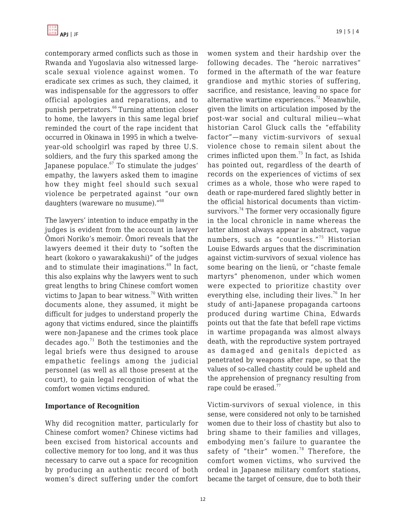

contemporary armed conflicts such as those in Rwanda and Yugoslavia also witnessed largescale sexual violence against women. To eradicate sex crimes as such, they claimed, it was indispensable for the aggressors to offer official apologies and reparations, and to punish perpetrators.<sup>66</sup> Turning attention closer to home, the lawyers in this same legal brief reminded the court of the rape incident that occurred in Okinawa in 1995 in which a twelveyear-old schoolgirl was raped by three U.S. soldiers, and the fury this sparked among the Japanese populace. $67$  To stimulate the judges' empathy, the lawyers asked them to imagine how they might feel should such sexual violence be perpetrated against "our own daughters (wareware no musume)."<sup>68</sup>

The lawyers' intention to induce empathy in the judges is evident from the account in lawyer Ōmori Noriko's memoir. Ōmori reveals that the lawyers deemed it their duty to "soften the heart (kokoro o yawarakakushi)" of the judges and to stimulate their imaginations. $69$  In fact, this also explains why the lawyers went to such great lengths to bring Chinese comfort women victims to Japan to bear witness.<sup>70</sup> With written documents alone, they assumed, it might be difficult for judges to understand properly the agony that victims endured, since the plaintiffs were non-Japanese and the crimes took place decades ago. $71$  Both the testimonies and the legal briefs were thus designed to arouse empathetic feelings among the judicial personnel (as well as all those present at the court), to gain legal recognition of what the comfort women victims endured.

#### **Importance of Recognition**

Why did recognition matter, particularly for Chinese comfort women? Chinese victims had been excised from historical accounts and collective memory for too long, and it was thus necessary to carve out a space for recognition by producing an authentic record of both women's direct suffering under the comfort women system and their hardship over the following decades. The "heroic narratives" formed in the aftermath of the war feature grandiose and mythic stories of suffering, sacrifice, and resistance, leaving no space for alternative wartime experiences.<sup>72</sup> Meanwhile, given the limits on articulation imposed by the post-war social and cultural milieu—what historian Carol Gluck calls the "effability factor"—many victim-survivors of sexual violence chose to remain silent about the crimes inflicted upon them. $73$  In fact, as Ishida has pointed out, regardless of the dearth of records on the experiences of victims of sex crimes as a whole, those who were raped to death or rape-murdered fared slightly better in the official historical documents than victimsurvivors.<sup>74</sup> The former very occasionally figure in the local chronicle in name whereas the latter almost always appear in abstract, vague numbers, such as "countless."<sup>75</sup> Historian Louise Edwards argues that the discrimination against victim-survivors of sexual violence has some bearing on the lienü, or "chaste female martyrs" phenomenon, under which women were expected to prioritize chastity over everything else, including their lives.<sup>76</sup> In her study of anti-Japanese propaganda cartoons produced during wartime China, Edwards points out that the fate that befell rape victims in wartime propaganda was almost always death, with the reproductive system portrayed as damaged and genitals depicted as penetrated by weapons after rape, so that the values of so-called chastity could be upheld and the apprehension of pregnancy resulting from rape could be erased.<sup>77</sup>

Victim-survivors of sexual violence, in this sense, were considered not only to be tarnished women due to their loss of chastity but also to bring shame to their families and villages, embodying men's failure to guarantee the safety of "their" women.<sup>78</sup> Therefore, the comfort women victims, who survived the ordeal in Japanese military comfort stations, became the target of censure, due to both their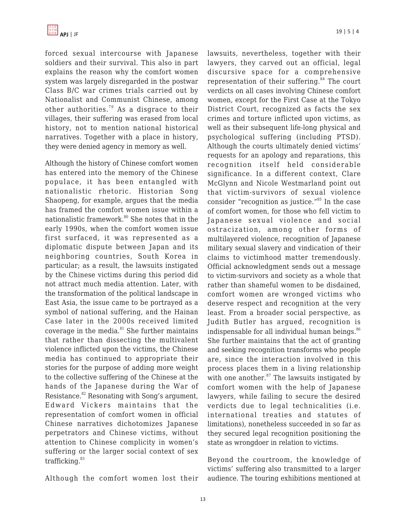forced sexual intercourse with Japanese soldiers and their survival. This also in part explains the reason why the comfort women system was largely disregarded in the postwar Class B/C war crimes trials carried out by Nationalist and Communist Chinese, among other authorities.<sup>79</sup> As a disgrace to their villages, their suffering was erased from local history, not to mention national historical narratives. Together with a place in history, they were denied agency in memory as well.

Although the history of Chinese comfort women has entered into the memory of the Chinese populace, it has been entangled with nationalistic rhetoric. Historian Song Shaopeng, for example, argues that the media has framed the comfort women issue within a nationalistic framework.<sup>80</sup> She notes that in the early 1990s, when the comfort women issue first surfaced, it was represented as a diplomatic dispute between Japan and its neighboring countries, South Korea in particular; as a result, the lawsuits instigated by the Chinese victims during this period did not attract much media attention. Later, with the transformation of the political landscape in East Asia, the issue came to be portrayed as a symbol of national suffering, and the Hainan Case later in the 2000s received limited coverage in the media. $81$  She further maintains that rather than dissecting the multivalent violence inflicted upon the victims, the Chinese media has continued to appropriate their stories for the purpose of adding more weight to the collective suffering of the Chinese at the hands of the Japanese during the War of Resistance.<sup>82</sup> Resonating with Song's argument, Edward Vickers maintains that the representation of comfort women in official Chinese narratives dichotomizes Japanese perpetrators and Chinese victims, without attention to Chinese complicity in women's suffering or the larger social context of sex trafficking.<sup>83</sup>

Although the comfort women lost their

lawsuits, nevertheless, together with their lawyers, they carved out an official, legal discursive space for a comprehensive representation of their suffering. $84$  The court verdicts on all cases involving Chinese comfort women, except for the First Case at the Tokyo District Court, recognized as facts the sex crimes and torture inflicted upon victims, as well as their subsequent life-long physical and psychological suffering (including PTSD). Although the courts ultimately denied victims' requests for an apology and reparations, this recognition itself held considerable significance. In a different context, Clare McGlynn and Nicole Westmarland point out that victim-survivors of sexual violence consider "recognition as justice."<sup>85</sup> In the case of comfort women, for those who fell victim to Japanese sexual violence and social ostracization, among other forms of multilayered violence, recognition of Japanese military sexual slavery and vindication of their claims to victimhood matter tremendously. Official acknowledgment sends out a message to victim-survivors and society as a whole that rather than shameful women to be disdained, comfort women are wronged victims who deserve respect and recognition at the very least. From a broader social perspective, as Judith Butler has argued, recognition is indispensable for all individual human beings. $86$ She further maintains that the act of granting and seeking recognition transforms who people are, since the interaction involved in this process places them in a living relationship with one another. $87$  The lawsuits instigated by comfort women with the help of Japanese lawyers, while failing to secure the desired verdicts due to legal technicalities (i.e. international treaties and statutes of limitations), nonetheless succeeded in so far as they secured legal recognition positioning the state as wrongdoer in relation to victims.

Beyond the courtroom, the knowledge of victims' suffering also transmitted to a larger audience. The touring exhibitions mentioned at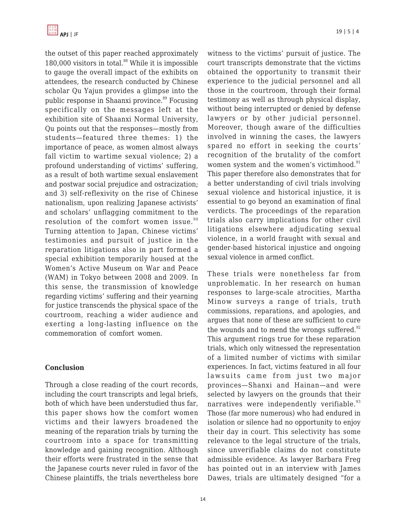the outset of this paper reached approximately 180,000 visitors in total. $88$  While it is impossible to gauge the overall impact of the exhibits on attendees, the research conducted by Chinese scholar Qu Yajun provides a glimpse into the public response in Shaanxi province.<sup>89</sup> Focusing specifically on the messages left at the exhibition site of Shaanxi Normal University, Qu points out that the responses—mostly from students—featured three themes: 1) the importance of peace, as women almost always fall victim to wartime sexual violence; 2) a profound understanding of victims' suffering, as a result of both wartime sexual enslavement and postwar social prejudice and ostracization; and 3) self-reflexivity on the rise of Chinese nationalism, upon realizing Japanese activists' and scholars' unflagging commitment to the resolution of the comfort women issue.<sup>90</sup> Turning attention to Japan, Chinese victims' testimonies and pursuit of justice in the reparation litigations also in part formed a special exhibition temporarily housed at the Women's Active Museum on War and Peace (WAM) in Tokyo between 2008 and 2009. In this sense, the transmission of knowledge regarding victims' suffering and their yearning for justice transcends the physical space of the courtroom, reaching a wider audience and exerting a long-lasting influence on the commemoration of comfort women.

### **Conclusion**

Through a close reading of the court records, including the court transcripts and legal briefs, both of which have been understudied thus far, this paper shows how the comfort women victims and their lawyers broadened the meaning of the reparation trials by turning the courtroom into a space for transmitting knowledge and gaining recognition. Although their efforts were frustrated in the sense that the Japanese courts never ruled in favor of the Chinese plaintiffs, the trials nevertheless bore

witness to the victims' pursuit of justice. The court transcripts demonstrate that the victims obtained the opportunity to transmit their experience to the judicial personnel and all those in the courtroom, through their formal testimony as well as through physical display, without being interrupted or denied by defense lawyers or by other judicial personnel. Moreover, though aware of the difficulties involved in winning the cases, the lawyers spared no effort in seeking the courts' recognition of the brutality of the comfort women system and the women's victimhood.<sup>91</sup> This paper therefore also demonstrates that for a better understanding of civil trials involving sexual violence and historical injustice, it is essential to go beyond an examination of final verdicts. The proceedings of the reparation trials also carry implications for other civil litigations elsewhere adjudicating sexual violence, in a world fraught with sexual and gender-based historical injustice and ongoing sexual violence in armed conflict.

These trials were nonetheless far from unproblematic. In her research on human responses to large-scale atrocities, Martha Minow surveys a range of trials, truth commissions, reparations, and apologies, and argues that none of these are sufficient to cure the wounds and to mend the wrongs suffered. $92$ This argument rings true for these reparation trials, which only witnessed the representation of a limited number of victims with similar experiences. In fact, victims featured in all four lawsuits came from just two major provinces—Shanxi and Hainan—and were selected by lawyers on the grounds that their narratives were independently verifiable.<sup>93</sup> Those (far more numerous) who had endured in isolation or silence had no opportunity to enjoy their day in court. This selectivity has some relevance to the legal structure of the trials, since unverifiable claims do not constitute admissible evidence. As lawyer Barbara Freg has pointed out in an interview with James Dawes, trials are ultimately designed "for a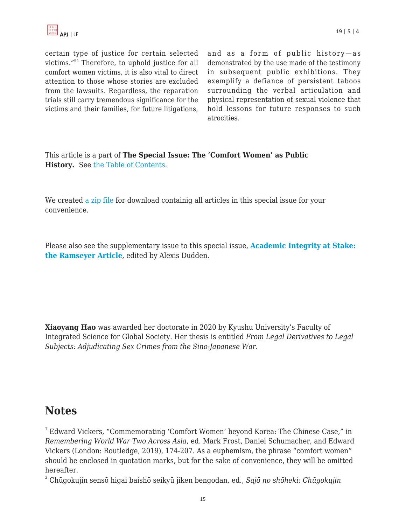

certain type of justice for certain selected victims."<sup>94</sup> Therefore, to uphold justice for all comfort women victims, it is also vital to direct attention to those whose stories are excluded from the lawsuits. Regardless, the reparation trials still carry tremendous significance for the victims and their families, for future litigations,

and as a form of public history—as demonstrated by the use made of the testimony in subsequent public exhibitions. They exemplify a defiance of persistent taboos surrounding the verbal articulation and physical representation of sexual violence that hold lessons for future responses to such atrocities.

This article is a part of **The Special Issue: The 'Comfort Women' as Public History.** See [the Table of Contents](https://apjjf.org/2021/5/ToC.html).

We created [a zip file](https://apjjf.org/data/Comfort_Women_special.tar.gz) for download containig all articles in this special issue for your convenience.

Please also see the supplementary issue to this special issue, **[Academic Integrity at Stake:](https://apjjf.org/2021/5/ToC2.html) [the Ramseyer Article](https://apjjf.org/2021/5/ToC2.html)**, edited by Alexis Dudden.

**Xiaoyang Hao** was awarded her doctorate in 2020 by Kyushu University's Faculty of Integrated Science for Global Society. Her thesis is entitled *From Legal Derivatives to Legal Subjects: Adjudicating Sex Crimes from the Sino-Japanese War*.

# **Notes**

<sup>1</sup> Edward Vickers, "Commemorating 'Comfort Women' beyond Korea: The Chinese Case," in *Remembering World War Two Across Asia*, ed. Mark Frost, Daniel Schumacher, and Edward Vickers (London: Routledge, 2019), 174-207. As a euphemism, the phrase "comfort women" should be enclosed in quotation marks, but for the sake of convenience, they will be omitted hereafter.

<sup>2</sup> Chūgokujin sensō higai baishō seikyū jiken bengodan, ed., *Sajō no shōheki: Chūgokujin*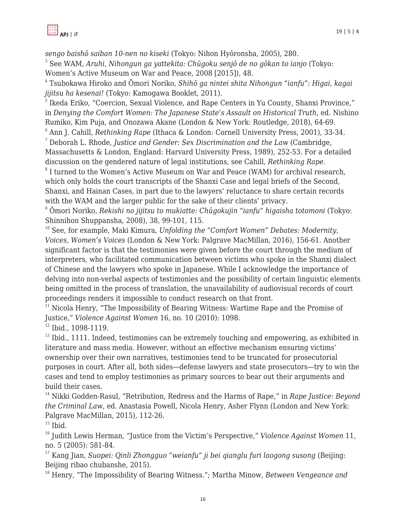

*sengo baishō saiban 10-nen no kiseki* (Tokyo: Nihon Hyōronsha, 2005), 280. 3 See WAM, *Aruhi, Nihongun ga yattekita: Chūgoku senjō de no gōkan to ianjo* (Tokyo:

Women's Active Museum on War and Peace, 2008 [2015]), 48.

4 Tsubokawa Hiroko and Ōmori Noriko, *Shihō ga nintei shita Nihongun "ianfu": Higai, kagai jijitsu ha kesenai!* (Tokyo: Kamogawa Booklet, 2011).

5 Ikeda Eriko, "Coercion, Sexual Violence, and Rape Centers in Yu County, Shanxi Province," in *Denying the Comfort Women: The Japanese State's Assault on Historical Truth*, ed. Nishino Rumiko, Kim Puja, and Onozawa Akane (London & New York: Routledge, 2018), 64-69.

6 Ann J. Cahill, *Rethinking Rape* (Ithaca & London: Cornell University Press, 2001), 33-34. <sup>7</sup> Deborah L. Rhode, *Justice and Gender: Sex Discrimination and the Law* (Cambridge,

Massachusetts & London, England: Harvard University Press, 1989), 252-53. For a detailed discussion on the gendered nature of legal institutions, see Cahill, *Rethinking Rape*.

<sup>8</sup> I turned to the Women's Active Museum on War and Peace (WAM) for archival research, which only holds the court transcripts of the Shanxi Case and legal briefs of the Second, Shanxi, and Hainan Cases, in part due to the lawyers' reluctance to share certain records with the WAM and the larger public for the sake of their clients' privacy.

<sup>9</sup> Ōmori Noriko, *Rekishi no jijitsu to mukiatte: Chūgokujin "ianfu" higaisha totomoni* (Tokyo: Shinnihon Shuppansha, 2008), 38, 99-101, 115.

<sup>10</sup> See, for example, Maki Kimura, *Unfolding the "Comfort Women" Debates: Modernity, Voices, Women's Voices* (London & New York: Palgrave MacMillan, 2016), 156-61. Another significant factor is that the testimonies were given before the court through the medium of interpreters, who facilitated communication between victims who spoke in the Shanxi dialect of Chinese and the lawyers who spoke in Japanese. While I acknowledge the importance of delving into non-verbal aspects of testimonies and the possibility of certain linguistic elements being omitted in the process of translation, the unavailability of audiovisual records of court proceedings renders it impossible to conduct research on that front.

 $11$  Nicola Henry, "The Impossibility of Bearing Witness: Wartime Rape and the Promise of Justice," *Violence Against Women* 16, no. 10 (2010): 1098.

<sup>12</sup> Ibid., 1098-1119.

 $13$  Ibid., 1111. Indeed, testimonies can be extremely touching and empowering, as exhibited in literature and mass media. However, without an effective mechanism ensuring victims' ownership over their own narratives, testimonies tend to be truncated for prosecutorial purposes in court. After all, both sides—defense lawyers and state prosecutors—try to win the cases and tend to employ testimonies as primary sources to bear out their arguments and build their cases.

<sup>14</sup> Nikki Godden-Rasul, "Retribution, Redress and the Harms of Rape," in *Rape Justice: Beyond the Criminal Law*, ed. Anastasia Powell, Nicola Henry, Asher Flynn (London and New York: Palgrave MacMillan, 2015), 112-26.

 $15$  Ibid.

<sup>16</sup> Judith Lewis Herman, "Justice from the Victim's Perspective," *Violence Against Women* 11, no. 5 (2005): 581-84.

<sup>17</sup> Kang Jian, *Suopei: Qinli Zhongguo "weianfu" ji bei qianglu furi laogong susong* (Beijing: Beijing ribao chubanshe, 2015).

<sup>18</sup> Henry, "The Impossibility of Bearing Witness."; Martha Minow, *Between Vengeance and*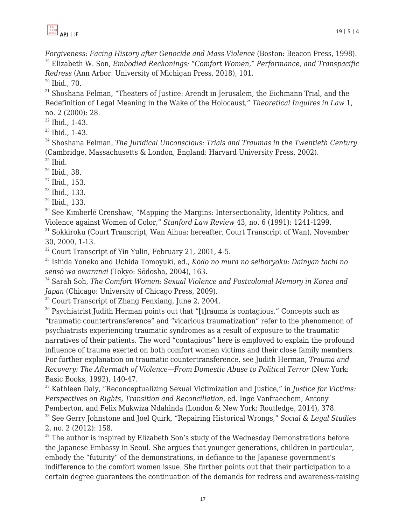

*Forgiveness: Facing History after Genocide and Mass Violence* (Boston: Beacon Press, 1998). <sup>19</sup> Elizabeth W. Son, *Embodied Reckonings: "Comfort Women," Performance, and Transpacific Redress* (Ann Arbor: University of Michigan Press, 2018), 101.

<sup>20</sup> Ibid., 70.

 $21$  Shoshana Felman, "Theaters of Justice: Arendt in Jerusalem, the Eichmann Trial, and the Redefinition of Legal Meaning in the Wake of the Holocaust," *Theoretical Inquires in Law* 1, no. 2 (2000): 28.

 $22$  Ibid., 1-43.

 $23$  Ibid., 1-43.

<sup>24</sup> Shoshana Felman, *The Juridical Unconscious: Trials and Traumas in the Twentieth Century* (Cambridge, Massachusetts & London, England: Harvard University Press, 2002).

 $25$  Ibid.

 $26$  Ibid., 38.

 $27$  Ibid., 153.

 $28$  Ibid., 133.

 $29$  Ibid., 133.

<sup>30</sup> See Kimberlé Crenshaw, "Mapping the Margins: Intersectionality, Identity Politics, and Violence against Women of Color," *Stanford Law Review* 43, no. 6 (1991): 1241-1299.

<sup>31</sup> Sokkiroku (Court Transcript, Wan Aihua; hereafter, Court Transcript of Wan), November 30, 2000, 1-13.

<sup>32</sup> Court Transcript of Yin Yulin, February 21, 2001, 4-5.

<sup>33</sup> Ishida Yoneko and Uchida Tomoyuki, ed., *Kōdo no mura no seibōryoku: Dainyan tachi no sensō wa owaranai* (Tokyo: Sōdosha, 2004), 163.

<sup>34</sup> Sarah Soh, *The Comfort Women: Sexual Violence and Postcolonial Memory in Korea and Japan* (Chicago: University of Chicago Press, 2009).

<sup>35</sup> Court Transcript of Zhang Fenxiang, June 2, 2004.

<sup>36</sup> Psychiatrist Judith Herman points out that "[t]rauma is contagious." Concepts such as "traumatic countertransference" and "vicarious traumatization" refer to the phenomenon of psychiatrists experiencing traumatic syndromes as a result of exposure to the traumatic narratives of their patients. The word "contagious" here is employed to explain the profound influence of trauma exerted on both comfort women victims and their close family members. For further explanation on traumatic countertransference, see Judith Herman, *Trauma and Recovery: The Aftermath of Violence—From Domestic Abuse to Political Terror* (New York: Basic Books, 1992), 140-47.

<sup>37</sup> Kathleen Daly, "Reconceptualizing Sexual Victimization and Justice," in *Justice for Victims: Perspectives on Rights, Transition and Reconciliation*, ed. Inge Vanfraechem, Antony Pemberton, and Felix Mukwiza Ndahinda (London & New York: Routledge, 2014), 378.

<sup>38</sup> See Gerry Johnstone and Joel Quirk, "Repairing Historical Wrongs," *Social & Legal Studies* 2, no. 2 (2012): 158.

 $39$  The author is inspired by Elizabeth Son's study of the Wednesday Demonstrations before the Japanese Embassy in Seoul. She argues that younger generations, children in particular, embody the "futurity" of the demonstrations, in defiance to the Japanese government's indifference to the comfort women issue. She further points out that their participation to a certain degree guarantees the continuation of the demands for redress and awareness-raising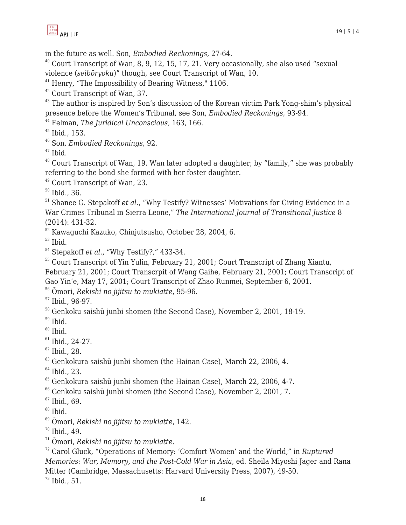in the future as well. Son, *Embodied Reckonings*, 27-64.

 Court Transcript of Wan, 8, 9, 12, 15, 17, 21. Very occasionally, she also used "sexual violence (*seibōryoku*)" though, see Court Transcript of Wan, 10.

Henry, "The Impossibility of Bearing Witness," 1106.

Court Transcript of Wan, 37.

<sup>43</sup> The author is inspired by Son's discussion of the Korean victim Park Yong-shim's physical presence before the Women's Tribunal, see Son, *Embodied Reckonings*, 93-94.

Felman, *The Juridical Unconscious*, 163, 166.

Ibid., 153.

Son, *Embodied Reckonings*, 92.

Ibid.

 Court Transcript of Wan, 19. Wan later adopted a daughter; by "family," she was probably referring to the bond she formed with her foster daughter.

Court Transcript of Wan, 23.

Ibid., 36.

<sup>51</sup> Shanee G. Stepakoff *et al.*, "Why Testify? Witnesses' Motivations for Giving Evidence in a War Crimes Tribunal in Sierra Leone," *The International Journal of Transitional Justice* 8 (2014): 431-32.

Kawaguchi Kazuko, Chinjutsusho, October 28, 2004, 6.

Ibid.

Stepakoff *et al*., "Why Testify?," 433-34.

<sup>55</sup> Court Transcript of Yin Yulin, February 21, 2001; Court Transcript of Zhang Xiantu, February 21, 2001; Court Transcrpit of Wang Gaihe, February 21, 2001; Court Transcript of Gao Yin'e, May 17, 2001; Court Transcript of Zhao Runmei, September 6, 2001.

Ōmori, *Rekishi no jijitsu to mukiatte*, 95-96.

Ibid., 96-97.

<sup>58</sup> Genkoku saishū junbi shomen (the Second Case), November 2, 2001, 18-19.

Ibid.

Ibid.

Ibid., 24-27.

Ibid., 28.

Genkokura saishū junbi shomen (the Hainan Case), March 22, 2006, 4.

<sup>64</sup> Ibid., 23.

Genkokura saishū junbi shomen (the Hainan Case), March 22, 2006, 4-7.

Genkoku saishū junbi shomen (the Second Case), November 2, 2001, 7.

Ibid., 69.

Ibid.

Ōmori, *Rekishi no jijitsu to mukiatte*, 142.

Ibid., 49.

Ōmori, *Rekishi no jijitsu to mukiatte*.

 Carol Gluck, "Operations of Memory: 'Comfort Women' and the World," in *Ruptured Memories: War, Memory, and the Post-Cold War in Asia*, ed. Sheila Miyoshi Jager and Rana Mitter (Cambridge, Massachusetts: Harvard University Press, 2007), 49-50.

Ibid., 51.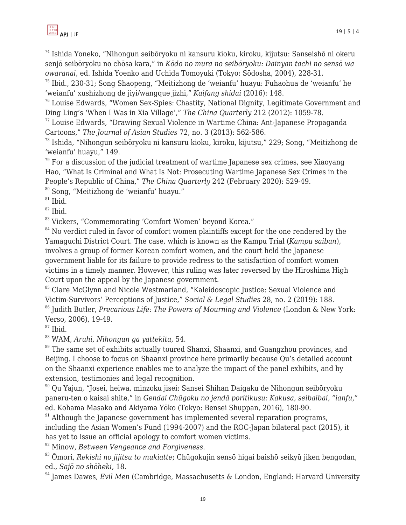<sup>74</sup> Ishida Yoneko, "Nihongun seibōryoku ni kansuru kioku, kiroku, kijutsu: Sanseishō ni okeru senjō seibōryoku no chōsa kara," in *Kōdo no mura no seibōryoku: Dainyan tachi no sensō wa owaranai*, ed. Ishida Yoenko and Uchida Tomoyuki (Tokyo: Sōdosha, 2004), 228-31.

 $75$  Ibid., 230-31; Song Shaopeng, "Meitizhong de 'weianfu' huayu: Fuhaohua de 'weianfu' he 'weianfu' xushizhong de jiyi/wangque jizhi," *Kaifang shidai* (2016): 148.

<sup>76</sup> Louise Edwards, "Women Sex-Spies: Chastity, National Dignity, Legitimate Government and Ding Ling's 'When I Was in Xia Village'," *The China Quarterly* 212 (2012): 1059-78.

 $77$  Louise Edwards, "Drawing Sexual Violence in Wartime China: Ant-Japanese Propaganda Cartoons," *The Journal of Asian Studies* 72, no. 3 (2013): 562-586.

<sup>78</sup> Ishida, "Nihongun seibōryoku ni kansuru kioku, kiroku, kijutsu," 229; Song, "Meitizhong de 'weianfu' huayu," 149.

 $79$  For a discussion of the judicial treatment of wartime Japanese sex crimes, see Xiaoyang Hao, "What Is Criminal and What Is Not: Prosecuting Wartime Japanese Sex Crimes in the People's Republic of China," *The China Quarterly* 242 (February 2020): 529-49.

<sup>80</sup> Song, "Meitizhong de 'weianfu' huayu."

 $81$  Ibid.

 $82$  Ibid.

<sup>83</sup> Vickers, "Commemorating 'Comfort Women' beyond Korea."

 $84$  No verdict ruled in favor of comfort women plaintiffs except for the one rendered by the Yamaguchi District Court. The case, which is known as the Kampu Trial (*Kampu saiban*), involves a group of former Korean comfort women, and the court held the Japanese government liable for its failure to provide redress to the satisfaction of comfort women victims in a timely manner. However, this ruling was later reversed by the Hiroshima High Court upon the appeal by the Japanese government.

<sup>85</sup> Clare McGlynn and Nicole Westmarland, "Kaleidoscopic Justice: Sexual Violence and Victim-Survivors' Perceptions of Justice," *Social & Legal Studies* 28, no. 2 (2019): 188.

<sup>86</sup> Judith Butler, *Precarious Life: The Powers of Mourning and Violence* (London & New York: Verso, 2006), 19-49.

 $87$  Ibid.

<sup>88</sup> WAM, *Aruhi, Nihongun ga yattekita*, 54.

<sup>89</sup> The same set of exhibits actually toured Shanxi, Shaanxi, and Guangzhou provinces, and Beijing. I choose to focus on Shaanxi province here primarily because Qu's detailed account on the Shaanxi experience enables me to analyze the impact of the panel exhibits, and by extension, testimonies and legal recognition.

<sup>90</sup> Qu Yajun, "Josei, heiwa, minzoku jisei: Sansei Shihan Daigaku de Nihongun seibōryoku paneru-ten o kaisai shite," in *Gendai Chūgoku no jendā poritikusu: Kakusa, seibaibai, "ianfu,"* ed. Kohama Masako and Akiyama Yōko (Tokyo: Bensei Shuppan, 2016), 180-90.

 $91$  Although the Japanese government has implemented several reparation programs, including the Asian Women's Fund (1994-2007) and the ROC-Japan bilateral pact (2015), it has yet to issue an official apology to comfort women victims.

<sup>92</sup> Minow, *Between Vengeance and Forgiveness*.

<sup>93</sup> Ōmori, *Rekishi no jijitsu to mukiatte*; Chūgokujin sensō higai baishō seikyū jiken bengodan, ed., *Sajō no shōheki*, 18.

<sup>94</sup> James Dawes, *Evil Men* (Cambridge, Massachusetts & London, England: Harvard University